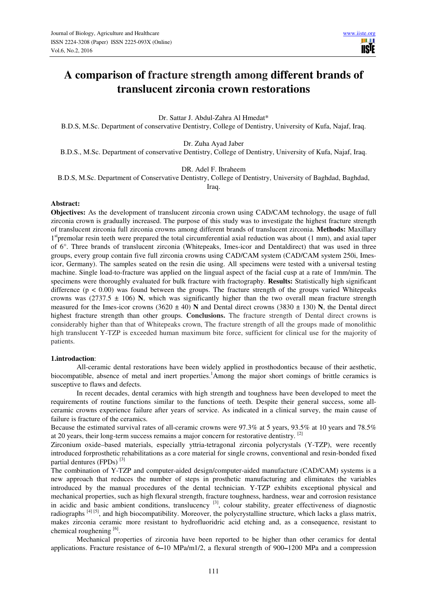**III** I **IISTE** 

# **A comparison of fracture strength among different brands of translucent zirconia crown restorations**

Dr. Sattar J. Abdul-Zahra Al Hmedat\*

B.D.S, M.Sc. Department of conservative Dentistry, College of Dentistry, University of Kufa, Najaf, Iraq.

Dr. Zuha Ayad Jaber

B.D.S., M.Sc. Department of conservative Dentistry, College of Dentistry, University of Kufa, Najaf, Iraq.

DR. Adel F. Ibraheem

B.D.S, M.Sc. Department of Conservative Dentistry, College of Dentistry, University of Baghdad, Baghdad,

Iraq.

#### **Abstract:**

**Objectives:** As the development of translucent zirconia crown using CAD/CAM technology, the usage of full zirconia crown is gradually increased. The purpose of this study was to investigate the highest fracture strength of translucent zirconia full zirconia crowns among different brands of translucent zirconia. **Methods:** Maxillary 1<sup>st</sup>premolar resin teeth were prepared the total circumferential axial reduction was about (1 mm), and axial taper of 6°. Three brands of translucent zirconia (Whitepeaks, Imes-icor and Dentaldirect) that was used in three groups, every group contain five full zirconia crowns using CAD/CAM system (CAD/CAM system 250i, Imesicor, Germany). The samples seated on the resin die using. All specimens were tested with a universal testing machine. Single load-to-fracture was applied on the lingual aspect of the facial cusp at a rate of 1mm/min. The specimens were thoroughly evaluated for bulk fracture with fractography. **Results:** Statistically high significant difference ( $p < 0.00$ ) was found between the groups. The fracture strength of the groups varied Whitepeaks crowns was (2737.5  $\pm$  106) **N**, which was significantly higher than the two overall mean fracture strength measured for the Imes-icor crowns (3620  $\pm$  40) **N** and Dental direct crowns (3830  $\pm$  130) **N**, the Dental direct highest fracture strength than other groups. **Conclusions.** The fracture strength of Dental direct crowns is considerably higher than that of Whitepeaks crown, The fracture strength of all the groups made of monolithic high translucent Y-TZP is exceeded human maximum bite force, sufficient for clinical use for the majority of patients.

#### **1.introdaction**:

All-ceramic dental restorations have been widely applied in prosthodontics because of their aesthetic, biocompatible, absence of metal and inert properties.<sup>1</sup>Among the major short comings of brittle ceramics is susceptive to flaws and defects.

In recent decades, dental ceramics with high strength and toughness have been developed to meet the requirements of routine functions similar to the functions of teeth. Despite their general success, some allceramic crowns experience failure after years of service. As indicated in a clinical survey, the main cause of failure is fracture of the ceramics.

Because the estimated survival rates of all-ceramic crowns were 97.3% at 5 years, 93.5% at 10 years and 78.5% at 20 years, their long-term success remains a major concern for restorative dentistry. [2]

Zirconium oxide–based materials, especially yttria-tetragonal zirconia polycrystals (Y-TZP), were recently introduced forprosthetic rehabilitations as a core material for single crowns, conventional and resin-bonded fixed partial dentures (FPDs)<sup>[3]</sup>

The combination of Y-TZP and computer-aided design/computer-aided manufacture (CAD/CAM) systems is a new approach that reduces the number of steps in prosthetic manufacturing and eliminates the variables introduced by the manual procedures of the dental technician. Y-TZP exhibits exceptional physical and mechanical properties, such as high flexural strength, fracture toughness, hardness, wear and corrosion resistance in acidic and basic ambient conditions, translucency  $[3]$ , colour stability, greater effectiveness of diagnostic radiographs [4] [5], and high biocompatibility. Moreover, the polycrystalline structure, which lacks a glass matrix, makes zirconia ceramic more resistant to hydrofluoridric acid etching and, as a consequence, resistant to chemical roughening [6].

Mechanical properties of zirconia have been reported to be higher than other ceramics for dental applications. Fracture resistance of 6**–**10 MPa/m1/2, a flexural strength of 900**–**1200 MPa and a compression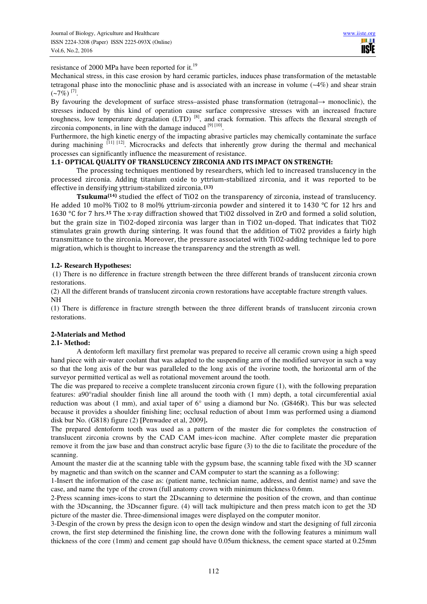**IISTE** 

resistance of 2000 MPa have been reported for it.<sup>19</sup>

Mechanical stress, in this case erosion by hard ceramic particles, induces phase transformation of the metastable tetragonal phase into the monoclinic phase and is associated with an increase in volume (~4%) and shear strain  $(-7%)$ <sup>[7]</sup>.

By favouring the development of surface stress–assisted phase transformation (tetragonal**→** monoclinic), the stresses induced by this kind of operation cause surface compressive stresses with an increased fracture toughness, low temperature degradation (LTD)<sup>[8]</sup>, and crack formation. This affects the flexural strength of zirconia components, in line with the damage induced  $[9] [10]$ .

Furthermore, the high kinetic energy of the impacting abrasive particles may chemically contaminate the surface during machining <sup>[11] [12]</sup>. Microcracks and defects that inherently grow during the thermal and mechanical processes can significantly influence the measurement of resistance.

# **1.1- OPTICAL QUALITY OF TRANSLUCENCY ZIRCONIA AND ITS IMPACT ON STRENGTH:**

The processing techniques mentioned by researchers, which led to increased translucency in the processed zirconia. Adding titanium oxide to yttrium-stabilized zirconia, and it was reported to be effective in densifying yttrium-stabilized zirconia.  **(13)**

**Tsukuma(14)** studied the effect of TiO2 on the transparency of zirconia, instead of translucency. He added 10 mol% TiO2 to 8 mol% vttrium-zirconia powder and sintered it to 1430 °C for 12 hrs and 1630 °C for 7 hrs.**15** The x-ray diffraction showed that TiO2 dissolved in ZrO and formed a solid solution, but the grain size in TiO2-doped zirconia was larger than in TiO2 un-doped. That indicates that TiO2 stimulates grain growth during sintering. It was found that the addition of TiO2 provides a fairly high transmittance to the zirconia. Moreover, the pressure associated with TiO2-adding technique led to pore migration, which is thought to increase the transparency and the strength as well.

# **1.2- Research Hypotheses:**

 (1) There is no difference in fracture strength between the three different brands of translucent zirconia crown restorations.

(2) All the different brands of translucent zirconia crown restorations have acceptable fracture strength values. NH

(1) There is difference in fracture strength between the three different brands of translucent zirconia crown restorations.

# **2-Materials and Method**

#### **2.1- Method:**

A dentoform left maxillary first premolar was prepared to receive all ceramic crown using a high speed hand piece with air-water coolant that was adapted to the suspending arm of the modified surveyor in such a way so that the long axis of the bur was paralleled to the long axis of the ivorine tooth, the horizontal arm of the surveyor permitted vertical as well as rotational movement around the tooth.

The die was prepared to receive a complete translucent zirconia crown figure (1), with the following preparation features: a90°radial shoulder finish line all around the tooth with (1 mm) depth, a total circumferential axial reduction was about (1 mm), and axial taper of 6° using a diamond bur No. (G846R). This bur was selected because it provides a shoulder finishing line; occlusal reduction of about 1mm was performed using a diamond disk bur No. (G818) figure (2) **[**Penwadee et al, 2009]**.** 

The prepared dentoform tooth was used as a pattern of the master die for completes the construction of translucent zirconia crowns by the CAD CAM imes-icon machine. After complete master die preparation remove it from the jaw base and than construct acrylic base figure (3) to the die to facilitate the procedure of the scanning.

Amount the master die at the scanning table with the gypsum base, the scanning table fixed with the 3D scanner by magnetic and than switch on the scanner and CAM computer to start the scanning as a following:

1-Insert the information of the case as: (patient name, technician name, address, and dentist name) and save the case, and name the type of the crown (full anatomy crown with minimum thickness 0.6mm.

2-Press scanning imes-icons to start the 2Dscanning to determine the position of the crown, and than continue with the 3Dscanning, the 3Dscanner figure. (4) will tack multipicture and then press match icon to get the 3D picture of the master die. Three-dimensional images were displayed on the computer monitor.

3-Desgin of the crown by press the design icon to open the design window and start the designing of full zirconia crown, the first step determined the finishing line, the crown done with the following features a minimum wall thickness of the core (1mm) and cement gap should have 0.05um thickness, the cement space started at 0.25mm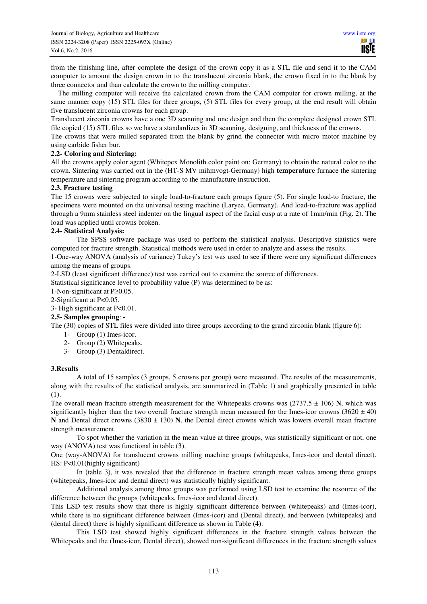from the finishing line, after complete the design of the crown copy it as a STL file and send it to the CAM computer to amount the design crown in to the translucent zirconia blank, the crown fixed in to the blank by three connector and than calculate the crown to the milling computer.

 The milling computer will receive the calculated crown from the CAM computer for crown milling, at the same manner copy (15) STL files for three groups, (5) STL files for every group, at the end result will obtain five translucent zirconia crowns for each group.

Translucent zirconia crowns have a one 3D scanning and one design and then the complete designed crown STL file copied (15) STL files so we have a standardizes in 3D scanning, designing, and thickness of the crowns.

The crowns that were milled separated from the blank by grind the connecter with micro motor machine by using carbide fisher bur.

#### **2.2- Coloring and Sintering:**

All the crowns apply color agent (Whitepex Monolith color paint on: Germany) to obtain the natural color to the crown. Sintering was carried out in the (HT-S MV mihmvogt-Germany) high **temperature** furnace the sintering temperature and sintering program according to the manufacture instruction.

#### **2.3. Fracture testing**

The 15 crowns were subjected to single load-to-fracture each groups figure (5). For single load-to fracture, the specimens were mounted on the universal testing machine (Laryee, Germany). And load-to-fracture was applied through a 9mm stainless steel indenter on the lingual aspect of the facial cusp at a rate of 1mm/min (Fig. 2). The load was applied until crowns broken.

#### **2.4- Statistical Analysis:**

The SPSS software package was used to perform the statistical analysis. Descriptive statistics were computed for fracture strength. Statistical methods were used in order to analyze and assess the results.

1-One-way ANOVA (analysis of variance) Tukey**'**s test was used to see if there were any significant differences among the means of groups.

2-LSD (least significant difference) test was carried out to examine the source of differences.

Statistical significance level to probability value (P) was determined to be as:

- 1-Non-significant at P≥0.05.
- 2-Significant at P<0.05.

3- High significant at P<0.01.

# **2.5- Samples grouping**: **-**

The (30) copies of STL files were divided into three groups according to the grand zirconia blank (figure 6):

- 1- Group (1) Imes-icor.
- 2- Group (2) Whitepeaks.
- 3- Group (3) Dentaldirect.

#### **3.Results**

A total of 15 samples (3 groups, 5 crowns per group) were measured. The results of the measurements, along with the results of the statistical analysis, are summarized in (Table 1) and graphically presented in table (1).

The overall mean fracture strength measurement for the Whitepeaks crowns was  $(2737.5 \pm 106)$  N, which was significantly higher than the two overall fracture strength mean measured for the Imes-icor crowns (3620  $\pm$  40) **N** and Dental direct crowns (3830  $\pm$  130) **N**, the Dental direct crowns which was lowers overall mean fracture strength measurement.

To spot whether the variation in the mean value at three groups, was statistically significant or not, one way (ANOVA) test was functional in table (3).

One (way-ANOVA) for translucent crowns milling machine groups (whitepeaks, Imes-icor and dental direct). HS: P<0.01(highly significant)

In (table 3), it was revealed that the difference in fracture strength mean values among three groups (whitepeaks, Imes-icor and dental direct) was statistically highly significant.

Additional analysis among three groups was performed using LSD test to examine the resource of the difference between the groups (whitepeaks, Imes-icor and dental direct).

This LSD test results show that there is highly significant difference between (whitepeaks) and (Imes-icor), while there is no significant difference between (Imes-icor) and (Dental direct), and between (whitepeaks) and (dental direct) there is highly significant difference as shown in Table (4).

This LSD test showed highly significant differences in the fracture strength values between the Whitepeaks and the (Imes-icor, Dental direct), showed non-significant differences in the fracture strength values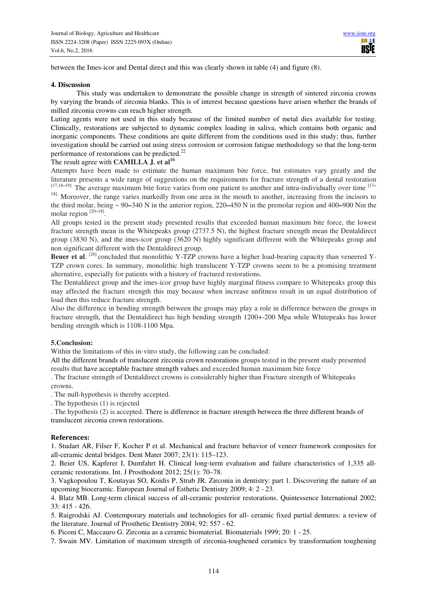between the Imes-icor and Dental direct and this was clearly shown in table (4) and figure (8).

#### **4. Discussion**

This study was undertaken to demonstrate the possible change in strength of sintered zirconia crowns by varying the brands of zirconia blanks. This is of interest because questions have arisen whether the brands of milled zirconia crowns can reach higher strength.

Luting agents were not used in this study because of the limited number of metal dies available for testing. Clinically, restorations are subjected to dynamic complex loading in saliva, which contains both organic and inorganic components. These conditions are quite different from the conditions used in this study; thus, further investigation should be carried out using stress corrosion or corrosion fatigue methodology so that the long-term performance of restorations can be predicted.<sup>22</sup>

#### The result agree with **CAMILLA J. et al<sup>16</sup>**

Attempts have been made to estimate the human maximum bite force, but estimates vary greatly and the literature presents a wide range of suggestions on the requirements for fracture strength of a dental restoration [17,18**–**19]. The average maximum bite force varies from one patient to another and intra-individually over time [17**–**

<sup>18].</sup> Moreover, the range varies markedly from one area in the mouth to another, increasing from the incisors to the third molar, being ~ 90**–**340 N in the anterior region, 220**–**450 N in the premolar region and 400**–**900 Nin the molar region [20**–**18] .

All groups tested in the present study presented results that exceeded human maximum bite force, the lowest fracture strength mean in the Whitepeaks group (2737.5 N), the highest fracture strength mean the Dentaldirect group (3830 N), and the imes-icor group (3620 N) highly significant different with the Whitepeaks group and non significant different with the Dentaldirect group.

Beuer et al. <sup>[20]</sup> concluded that monolithic Y-TZP crowns have a higher load-bearing capacity than veneered Y-TZP crown cores. In summary, monolithic high translucent Y-TZP crowns seem to be a promising treatment alternative, especially for patients with a history of fractured restorations.

The Dentaldirect group and the imes-icor group have highly marginal fitness compare to Whitepeaks group this may affected the fracture strength this may because when increase unfitness result in un equal distribution of load then this reduce fracture strength.

Also the difference in bending strength between the groups may play a role in difference between the groups in fracture strength, that the Dentaldirect has high bending strength 1200+-200 Mpa while Whitepeaks has lower bending strength which is 1108-1100 Mpa.

#### **5.Conclusion:**

Within the limitations of this in-vitro study, the following can be concluded:

All the different brands of translucent zirconia crown restorations groups tested in the present study presented results that have acceptable fracture strength values and exceeded human maximum bite force

. The fracture strength of Dentaldirect crowns is considerably higher than Fracture strength of Whitepeaks crowns.

. The null-hypothesis is thereby accepted.

. The hypothesis (1) is rejected

. The hypothesis (2) is accepted. There is difference in fracture strength between the three different brands of translucent zirconia crown restorations.

#### **References:**

1. Studart AR, Filser F, Kocher P et al. Mechanical and fracture behavior of veneer framework composites for all-ceramic dental bridges. Dent Mater 2007; 23(1): 115–123.

2. Beier US, Kapferer I, Dumfahrt H. Clinical long-term evaluation and failure characteristics of 1,335 allceramic restorations. Int. J Prosthodont 2012; 25(1): 70–78.

3. Vagkopoulou T, Koutayas SO, Koidis P, Strub JR. Zirconia in dentistry: part 1. Discovering the nature of an upcoming bioceramic. European Journal of Esthetic Dentistry 2009; 4: 2 - 23.

4. Blatz MB. Long-term clinical success of all-ceramic posterior restorations. Quintessence International 2002; 33: 415 - 426.

5. Raigrodski AJ. Contemporary materials and technologies for all- ceramic fixed partial dentures: a review of the literature. Journal of Prosthetic Dentistry 2004; 92: 557 - 62.

6. Piconi C, Maccauro G. Zirconia as a ceramic biomaterial. Biomaterials 1999; 20: 1 - 25.

7. Swain MV. Limitation of maximum strength of zirconia-toughened ceramics by transformation toughening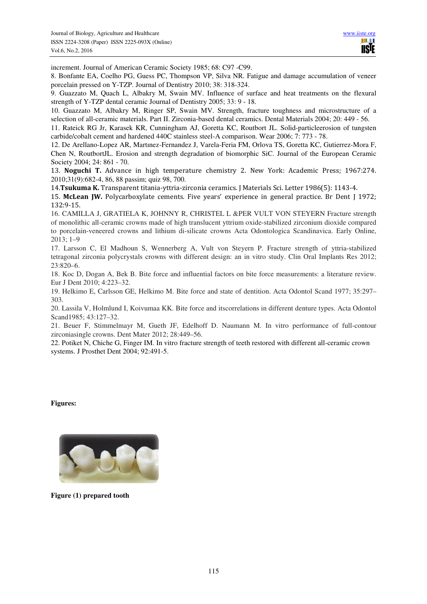increment. Journal of American Ceramic Society 1985; 68: C97 -C99.

8. Bonfante EA, Coelho PG, Guess PC, Thompson VP, Silva NR. Fatigue and damage accumulation of veneer porcelain pressed on Y-TZP. Journal of Dentistry 2010; 38: 318-324.

9. Guazzato M, Quach L, Albakry M, Swain MV. Influence of surface and heat treatments on the flexural strength of Y-TZP dental ceramic Journal of Dentistry 2005; 33: 9 - 18.

10. Guazzato M, Albakry M, Ringer SP, Swain MV. Strength, fracture toughness and microstructure of a selection of all-ceramic materials. Part II. Zirconia-based dental ceramics. Dental Materials 2004; 20: 449 - 56.

11. Rateick RG Jr, Karasek KR, Cunningham AJ, Goretta KC, Routbort JL. Solid-particleerosion of tungsten carbide/cobalt cement and hardened 440C stainless steel-A comparison. Wear 2006; 7: 773 - 78.

12. De Arellano-Lopez AR, Martınez-Fernandez J, Varela-Feria FM, Orlova TS, Goretta KC, Gutierrez-Mora F, Chen N, RoutbortJL. Erosion and strength degradation of biomorphic SiC. Journal of the European Ceramic Society 2004; 24: 861 - 70.

13. **Noguchi T.** Advance in high temperature chemistry 2. New York: Academic Press; 1967:274. 2010;31(9):682-4, 86, 88 passim; quiz 98, 700.

14.**Tsukuma K.** Transparent titania-yttria-zirconia ceramics. J Materials Sci. Letter 1986(5): 1143-4.

15. **McLean JW.** Polycarboxylate cements. Five years' experience in general practice. Br Dent J 1972; 132:9-15.

16. CAMILLA J, GRATIELA K, JOHNNY R, CHRISTEL L &PER VULT VON STEYERN Fracture strength of monolithic all-ceramic crowns made of high translucent yttrium oxide-stabilized zirconium dioxide compared to porcelain-veneered crowns and lithium di-silicate crowns Acta Odontologica Scandinavica. Early Online, 2013; 1–9

17. Larsson C, El Madhoun S, Wennerberg A, Vult von Steyern P. Fracture strength of yttria-stabilized tetragonal zirconia polycrystals crowns with different design: an in vitro study. Clin Oral Implants Res 2012; 23:820–6.

18. Koc D, Dogan A, Bek B. Bite force and influential factors on bite force measurements: a literature review. Eur J Dent 2010; 4:223–32.

19. Helkimo E, Carlsson GE, Helkimo M. Bite force and state of dentition. Acta Odontol Scand 1977; 35:297– 303.

20. Lassila V, Holmlund I, Koivumaa KK. Bite force and itscorrelations in different denture types. Acta Odontol Scand1985; 43:127–32.

21. Beuer F, Stimmelmayr M, Gueth JF, Edelhoff D. Naumann M. In vitro performance of full-contour zirconiasingle crowns. Dent Mater 2012; 28:449–56.

22. Potiket N, Chiche G, Finger IM. In vitro fracture strength of teeth restored with different all-ceramic crown systems. J Prosthet Dent 2004; 92:491-5.

**Figures:** 



**Figure (1) prepared tooth**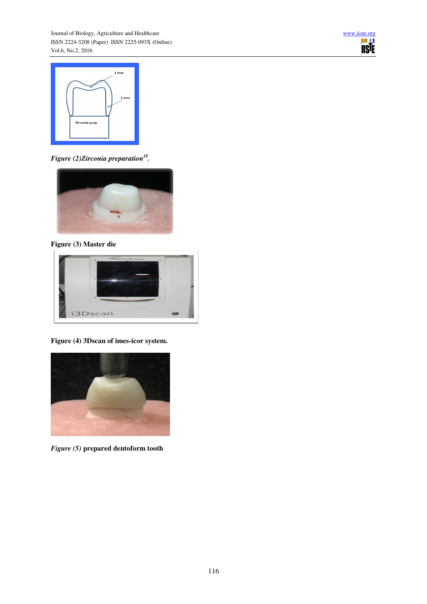



*Figure (2)Zirconia preparation<sup>18</sup> .* 



**Figure (3) Master die** 



**Figure (4) 3Dscan of imes-icor system.**



*Figure (5)* **prepared dentoform tooth**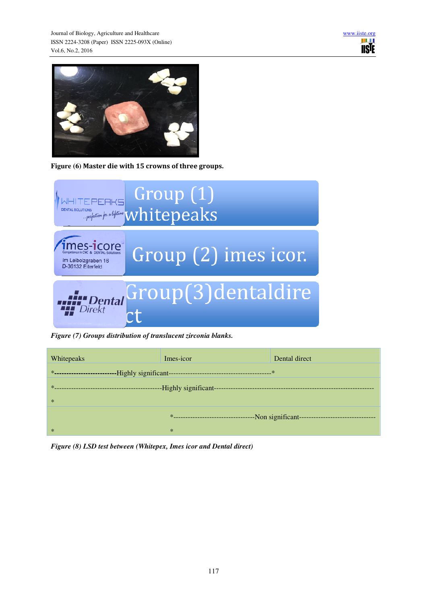



**Figure (6) Master die with 15 crowns of three groups.** 



*Figure (7) Groups distribution of translucent zirconia blanks.*



*Figure (8) LSD test between (Whitepex, Imes icor and Dental direct)*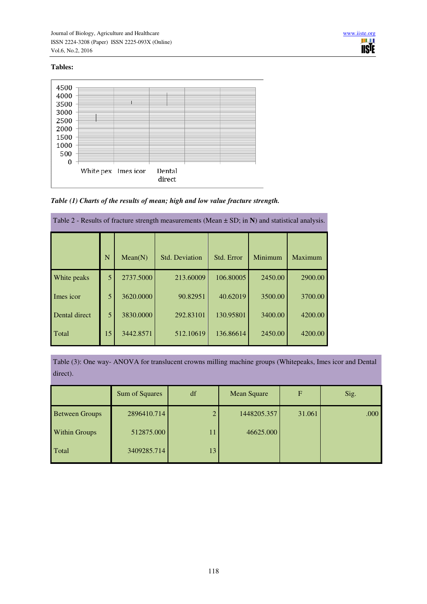# **Tables:**



*Table (1) Charts of the results of mean; high and low value fracture strength.* 

| Table 2 - Results of fracture strength measurements (Mean $\pm$ SD; in N) and statistical analysis. |    |           |                       |            |         |         |  |  |
|-----------------------------------------------------------------------------------------------------|----|-----------|-----------------------|------------|---------|---------|--|--|
|                                                                                                     | N  | Mean(N)   | <b>Std. Deviation</b> | Std. Error | Minimum | Maximum |  |  |
| White peaks                                                                                         | 5  | 2737.5000 | 213.60009             | 106.80005  | 2450.00 | 2900.00 |  |  |
| Imes icor                                                                                           | 5  | 3620,0000 | 90.82951              | 40.62019   | 3500.00 | 3700.00 |  |  |
| Dental direct                                                                                       | 5  | 3830.0000 | 292.83101             | 130.95801  | 3400.00 | 4200.00 |  |  |
| Total                                                                                               | 15 | 3442.8571 | 512.10619             | 136.86614  | 2450.00 | 4200.00 |  |  |

Table (3): One way- ANOVA for translucent crowns milling machine groups (Whitepeaks, Imes icor and Dental direct).

|                       | Sum of Squares | df | Mean Square | $\overline{F}$ | Sig. |
|-----------------------|----------------|----|-------------|----------------|------|
| <b>Between Groups</b> | 2896410.714    |    | 1448205.357 | 31.061         | .000 |
| <b>Within Groups</b>  | 512875.000     | 11 | 46625.000   |                |      |
| Total                 | 3409285.714    | 13 |             |                |      |